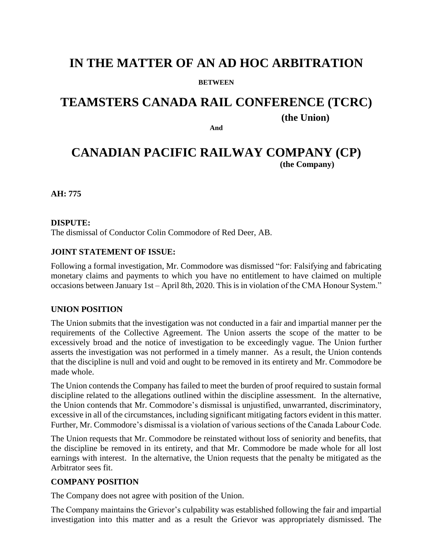## **IN THE MATTER OF AN AD HOC ARBITRATION**

#### **BETWEEN**

# **TEAMSTERS CANADA RAIL CONFERENCE (TCRC)**

**(the Union)**

**And**

## **CANADIAN PACIFIC RAILWAY COMPANY (CP) (the Company)**

**AH: 775**

#### **DISPUTE:**

The dismissal of Conductor Colin Commodore of Red Deer, AB.

#### **JOINT STATEMENT OF ISSUE:**

Following a formal investigation, Mr. Commodore was dismissed "for: Falsifying and fabricating monetary claims and payments to which you have no entitlement to have claimed on multiple occasions between January 1st – April 8th, 2020. This is in violation of the CMA Honour System."

#### **UNION POSITION**

The Union submits that the investigation was not conducted in a fair and impartial manner per the requirements of the Collective Agreement. The Union asserts the scope of the matter to be excessively broad and the notice of investigation to be exceedingly vague. The Union further asserts the investigation was not performed in a timely manner. As a result, the Union contends that the discipline is null and void and ought to be removed in its entirety and Mr. Commodore be made whole.

The Union contends the Company has failed to meet the burden of proof required to sustain formal discipline related to the allegations outlined within the discipline assessment. In the alternative, the Union contends that Mr. Commodore's dismissal is unjustified, unwarranted, discriminatory, excessive in all of the circumstances, including significant mitigating factors evident in this matter. Further, Mr. Commodore's dismissal is a violation of various sections of the Canada Labour Code.

The Union requests that Mr. Commodore be reinstated without loss of seniority and benefits, that the discipline be removed in its entirety, and that Mr. Commodore be made whole for all lost earnings with interest. In the alternative, the Union requests that the penalty be mitigated as the Arbitrator sees fit.

#### **COMPANY POSITION**

The Company does not agree with position of the Union.

The Company maintains the Grievor's culpability was established following the fair and impartial investigation into this matter and as a result the Grievor was appropriately dismissed. The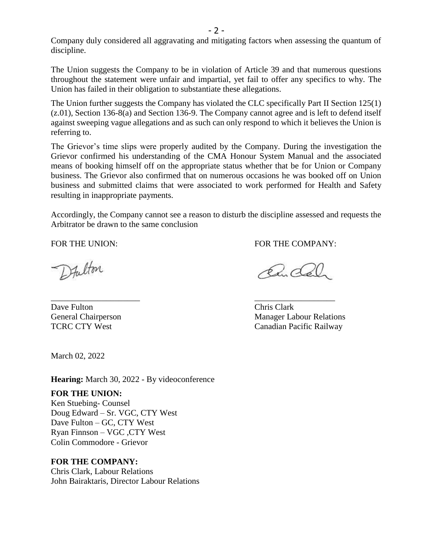Company duly considered all aggravating and mitigating factors when assessing the quantum of discipline.

The Union suggests the Company to be in violation of Article 39 and that numerous questions throughout the statement were unfair and impartial, yet fail to offer any specifics to why. The Union has failed in their obligation to substantiate these allegations.

The Union further suggests the Company has violated the CLC specifically Part II Section 125(1) (z.01), Section 136-8(a) and Section 136-9. The Company cannot agree and is left to defend itself against sweeping vague allegations and as such can only respond to which it believes the Union is referring to.

The Grievor's time slips were properly audited by the Company. During the investigation the Grievor confirmed his understanding of the CMA Honour System Manual and the associated means of booking himself off on the appropriate status whether that be for Union or Company business. The Grievor also confirmed that on numerous occasions he was booked off on Union business and submitted claims that were associated to work performed for Health and Safety resulting in inappropriate payments.

Accordingly, the Company cannot see a reason to disturb the discipline assessed and requests the Arbitrator be drawn to the same conclusion

\_\_\_\_\_\_\_\_\_\_\_\_\_\_\_\_\_\_\_\_\_ \_\_\_\_\_\_\_\_\_\_\_\_\_\_\_\_\_\_\_

Dfulton

Dave Fulton Chris Clark

FOR THE UNION: FOR THE COMPANY:

Ru Col

General Chairperson Manager Labour Relations TCRC CTY West Canadian Pacific Railway

March 02, 2022

**Hearing:** March 30, 2022 - By videoconference

#### **FOR THE UNION:**

Ken Stuebing- Counsel Doug Edward – Sr. VGC, CTY West Dave Fulton – GC, CTY West Ryan Finnson – VGC ,CTY West Colin Commodore - Grievor

#### **FOR THE COMPANY:**

Chris Clark, Labour Relations John Bairaktaris, Director Labour Relations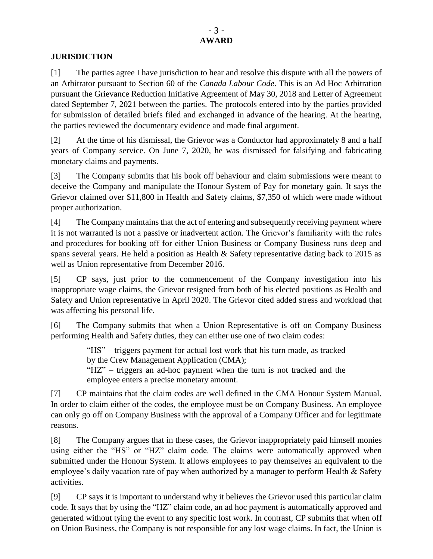#### **JURISDICTION**

[1] The parties agree I have jurisdiction to hear and resolve this dispute with all the powers of an Arbitrator pursuant to Section 60 of the *Canada Labour Code*. This is an Ad Hoc Arbitration pursuant the Grievance Reduction Initiative Agreement of May 30, 2018 and Letter of Agreement dated September 7, 2021 between the parties. The protocols entered into by the parties provided for submission of detailed briefs filed and exchanged in advance of the hearing. At the hearing, the parties reviewed the documentary evidence and made final argument.

[2] At the time of his dismissal, the Grievor was a Conductor had approximately 8 and a half years of Company service. On June 7, 2020, he was dismissed for falsifying and fabricating monetary claims and payments.

[3] The Company submits that his book off behaviour and claim submissions were meant to deceive the Company and manipulate the Honour System of Pay for monetary gain. It says the Grievor claimed over \$11,800 in Health and Safety claims, \$7,350 of which were made without proper authorization.

[4] The Company maintains that the act of entering and subsequently receiving payment where it is not warranted is not a passive or inadvertent action. The Grievor's familiarity with the rules and procedures for booking off for either Union Business or Company Business runs deep and spans several years. He held a position as Health & Safety representative dating back to 2015 as well as Union representative from December 2016.

[5] CP says, just prior to the commencement of the Company investigation into his inappropriate wage claims, the Grievor resigned from both of his elected positions as Health and Safety and Union representative in April 2020. The Grievor cited added stress and workload that was affecting his personal life.

[6] The Company submits that when a Union Representative is off on Company Business performing Health and Safety duties, they can either use one of two claim codes:

> "HS" – triggers payment for actual lost work that his turn made, as tracked by the Crew Management Application (CMA); "HZ" – triggers an ad-hoc payment when the turn is not tracked and the employee enters a precise monetary amount.

[7] CP maintains that the claim codes are well defined in the CMA Honour System Manual. In order to claim either of the codes, the employee must be on Company Business. An employee can only go off on Company Business with the approval of a Company Officer and for legitimate reasons.

[8] The Company argues that in these cases, the Grievor inappropriately paid himself monies using either the "HS" or "HZ" claim code. The claims were automatically approved when submitted under the Honour System. It allows employees to pay themselves an equivalent to the employee's daily vacation rate of pay when authorized by a manager to perform Health & Safety activities.

[9] CP says it is important to understand why it believes the Grievor used this particular claim code. It says that by using the "HZ" claim code, an ad hoc payment is automatically approved and generated without tying the event to any specific lost work. In contrast, CP submits that when off on Union Business, the Company is not responsible for any lost wage claims. In fact, the Union is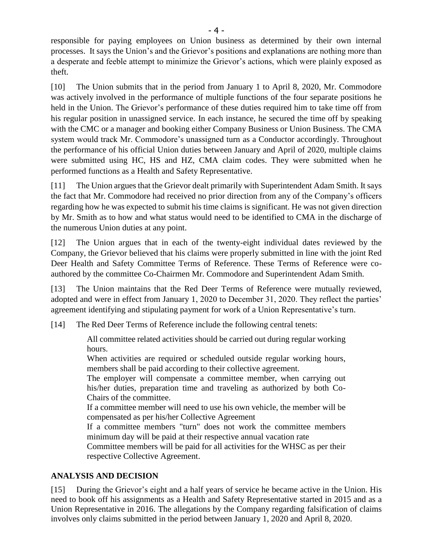responsible for paying employees on Union business as determined by their own internal processes. It says the Union's and the Grievor's positions and explanations are nothing more than a desperate and feeble attempt to minimize the Grievor's actions, which were plainly exposed as theft.

[10] The Union submits that in the period from January 1 to April 8, 2020, Mr. Commodore was actively involved in the performance of multiple functions of the four separate positions he held in the Union. The Grievor's performance of these duties required him to take time off from his regular position in unassigned service. In each instance, he secured the time off by speaking with the CMC or a manager and booking either Company Business or Union Business. The CMA system would track Mr. Commodore's unassigned turn as a Conductor accordingly. Throughout the performance of his official Union duties between January and April of 2020, multiple claims were submitted using HC, HS and HZ, CMA claim codes. They were submitted when he performed functions as a Health and Safety Representative.

[11] The Union argues that the Grievor dealt primarily with Superintendent Adam Smith. It says the fact that Mr. Commodore had received no prior direction from any of the Company's officers regarding how he was expected to submit his time claims is significant. He was not given direction by Mr. Smith as to how and what status would need to be identified to CMA in the discharge of the numerous Union duties at any point.

[12] The Union argues that in each of the twenty-eight individual dates reviewed by the Company, the Grievor believed that his claims were properly submitted in line with the joint Red Deer Health and Safety Committee Terms of Reference. These Terms of Reference were coauthored by the committee Co-Chairmen Mr. Commodore and Superintendent Adam Smith.

[13] The Union maintains that the Red Deer Terms of Reference were mutually reviewed, adopted and were in effect from January 1, 2020 to December 31, 2020. They reflect the parties' agreement identifying and stipulating payment for work of a Union Representative's turn.

[14] The Red Deer Terms of Reference include the following central tenets:

All committee related activities should be carried out during regular working hours.

When activities are required or scheduled outside regular working hours, members shall be paid according to their collective agreement.

The employer will compensate a committee member, when carrying out his/her duties, preparation time and traveling as authorized by both Co-Chairs of the committee.

If a committee member will need to use his own vehicle, the member will be compensated as per his/her Collective Agreement

If a committee members "turn" does not work the committee members minimum day will be paid at their respective annual vacation rate

Committee members will be paid for all activities for the WHSC as per their respective Collective Agreement.

### **ANALYSIS AND DECISION**

[15] During the Grievor's eight and a half years of service he became active in the Union. His need to book off his assignments as a Health and Safety Representative started in 2015 and as a Union Representative in 2016. The allegations by the Company regarding falsification of claims involves only claims submitted in the period between January 1, 2020 and April 8, 2020.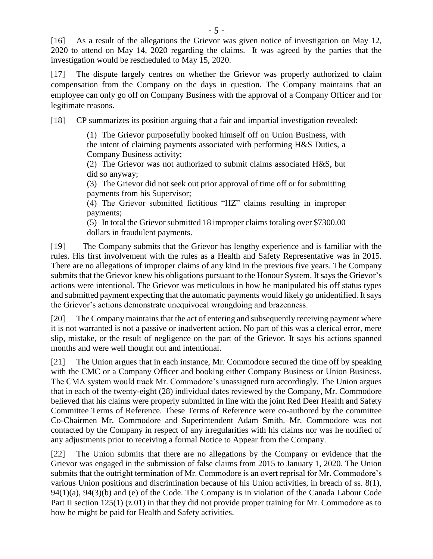[16] As a result of the allegations the Grievor was given notice of investigation on May 12, 2020 to attend on May 14, 2020 regarding the claims. It was agreed by the parties that the investigation would be rescheduled to May 15, 2020.

[17] The dispute largely centres on whether the Grievor was properly authorized to claim compensation from the Company on the days in question. The Company maintains that an employee can only go off on Company Business with the approval of a Company Officer and for legitimate reasons.

[18] CP summarizes its position arguing that a fair and impartial investigation revealed:

(1) The Grievor purposefully booked himself off on Union Business, with the intent of claiming payments associated with performing H&S Duties, a Company Business activity;

(2) The Grievor was not authorized to submit claims associated H&S, but did so anyway;

(3) The Grievor did not seek out prior approval of time off or for submitting payments from his Supervisor;

(4) The Grievor submitted fictitious "HZ" claims resulting in improper payments;

(5) In total the Grievor submitted 18 improper claims totaling over \$7300.00 dollars in fraudulent payments.

[19] The Company submits that the Grievor has lengthy experience and is familiar with the rules. His first involvement with the rules as a Health and Safety Representative was in 2015. There are no allegations of improper claims of any kind in the previous five years. The Company submits that the Grievor knew his obligations pursuant to the Honour System. It says the Grievor's actions were intentional. The Grievor was meticulous in how he manipulated his off status types and submitted payment expecting that the automatic payments would likely go unidentified. It says the Grievor's actions demonstrate unequivocal wrongdoing and brazenness.

[20] The Company maintains that the act of entering and subsequently receiving payment where it is not warranted is not a passive or inadvertent action. No part of this was a clerical error, mere slip, mistake, or the result of negligence on the part of the Grievor. It says his actions spanned months and were well thought out and intentional.

[21] The Union argues that in each instance, Mr. Commodore secured the time off by speaking with the CMC or a Company Officer and booking either Company Business or Union Business. The CMA system would track Mr. Commodore's unassigned turn accordingly. The Union argues that in each of the twenty-eight (28) individual dates reviewed by the Company, Mr. Commodore believed that his claims were properly submitted in line with the joint Red Deer Health and Safety Committee Terms of Reference. These Terms of Reference were co-authored by the committee Co-Chairmen Mr. Commodore and Superintendent Adam Smith. Mr. Commodore was not contacted by the Company in respect of any irregularities with his claims nor was he notified of any adjustments prior to receiving a formal Notice to Appear from the Company.

[22] The Union submits that there are no allegations by the Company or evidence that the Grievor was engaged in the submission of false claims from 2015 to January 1, 2020. The Union submits that the outright termination of Mr. Commodore is an overt reprisal for Mr. Commodore's various Union positions and discrimination because of his Union activities, in breach of ss. 8(1), 94(1)(a), 94(3)(b) and (e) of the Code. The Company is in violation of the Canada Labour Code Part II section 125(1) (z.01) in that they did not provide proper training for Mr. Commodore as to how he might be paid for Health and Safety activities.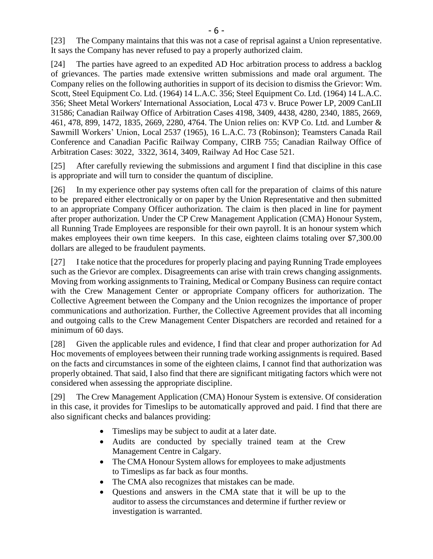[23] The Company maintains that this was not a case of reprisal against a Union representative. It says the Company has never refused to pay a properly authorized claim.

[24] The parties have agreed to an expedited AD Hoc arbitration process to address a backlog of grievances. The parties made extensive written submissions and made oral argument. The Company relies on the following authorities in support of its decision to dismiss the Grievor: Wm. Scott, Steel Equipment Co. Ltd. (1964) 14 L.A.C. 356; Steel Equipment Co. Ltd. (1964) 14 L.A.C. 356; Sheet Metal Workers' International Association, Local 473 v. Bruce Power LP, 2009 CanLII 31586; Canadian Railway Office of Arbitration Cases 4198, 3409, 4438, 4280, 2340, 1885, 2669, 461, 478, 899, 1472, 1835, 2669, 2280, 4764. The Union relies on: KVP Co. Ltd. and Lumber & Sawmill Workers' Union, Local 2537 (1965), 16 L.A.C. 73 (Robinson); Teamsters Canada Rail Conference and Canadian Pacific Railway Company, CIRB 755; Canadian Railway Office of Arbitration Cases: 3022, 3322, 3614, 3409, Railway Ad Hoc Case 521.

[25] After carefully reviewing the submissions and argument I find that discipline in this case is appropriate and will turn to consider the quantum of discipline.

[26] In my experience other pay systems often call for the preparation of claims of this nature to be prepared either electronically or on paper by the Union Representative and then submitted to an appropriate Company Officer authorization. The claim is then placed in line for payment after proper authorization. Under the CP Crew Management Application (CMA) Honour System, all Running Trade Employees are responsible for their own payroll. It is an honour system which makes employees their own time keepers. In this case, eighteen claims totaling over \$7,300.00 dollars are alleged to be fraudulent payments.

[27] I take notice that the procedures for properly placing and paying Running Trade employees such as the Grievor are complex. Disagreements can arise with train crews changing assignments. Moving from working assignments to Training, Medical or Company Business can require contact with the Crew Management Center or appropriate Company officers for authorization. The Collective Agreement between the Company and the Union recognizes the importance of proper communications and authorization. Further, the Collective Agreement provides that all incoming and outgoing calls to the Crew Management Center Dispatchers are recorded and retained for a minimum of 60 days.

[28] Given the applicable rules and evidence, I find that clear and proper authorization for Ad Hoc movements of employees between their running trade working assignments is required. Based on the facts and circumstances in some of the eighteen claims, I cannot find that authorization was properly obtained. That said, I also find that there are significant mitigating factors which were not considered when assessing the appropriate discipline.

[29] The Crew Management Application (CMA) Honour System is extensive. Of consideration in this case, it provides for Timeslips to be automatically approved and paid. I find that there are also significant checks and balances providing:

- Timeslips may be subject to audit at a later date.
- Audits are conducted by specially trained team at the Crew Management Centre in Calgary.
- The CMA Honour System allows for employees to make adjustments to Timeslips as far back as four months.
- The CMA also recognizes that mistakes can be made.
- Questions and answers in the CMA state that it will be up to the auditor to assess the circumstances and determine if further review or investigation is warranted.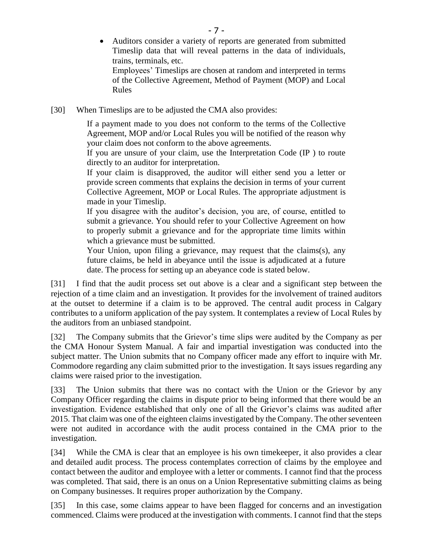Auditors consider a variety of reports are generated from submitted Timeslip data that will reveal patterns in the data of individuals, trains, terminals, etc.

Employees' Timeslips are chosen at random and interpreted in terms of the Collective Agreement, Method of Payment (MOP) and Local Rules

[30] When Timeslips are to be adjusted the CMA also provides:

If a payment made to you does not conform to the terms of the Collective Agreement, MOP and/or Local Rules you will be notified of the reason why your claim does not conform to the above agreements.

If you are unsure of your claim, use the Interpretation Code (IP ) to route directly to an auditor for interpretation.

If your claim is disapproved, the auditor will either send you a letter or provide screen comments that explains the decision in terms of your current Collective Agreement, MOP or Local Rules. The appropriate adjustment is made in your Timeslip.

If you disagree with the auditor's decision, you are, of course, entitled to submit a grievance. You should refer to your Collective Agreement on how to properly submit a grievance and for the appropriate time limits within which a grievance must be submitted.

Your Union, upon filing a grievance, may request that the claims(s), any future claims, be held in abeyance until the issue is adjudicated at a future date. The process for setting up an abeyance code is stated below.

[31] I find that the audit process set out above is a clear and a significant step between the rejection of a time claim and an investigation. It provides for the involvement of trained auditors at the outset to determine if a claim is to be approved. The central audit process in Calgary contributes to a uniform application of the pay system. It contemplates a review of Local Rules by the auditors from an unbiased standpoint.

[32] The Company submits that the Grievor's time slips were audited by the Company as per the CMA Honour System Manual. A fair and impartial investigation was conducted into the subject matter. The Union submits that no Company officer made any effort to inquire with Mr. Commodore regarding any claim submitted prior to the investigation. It says issues regarding any claims were raised prior to the investigation.

[33] The Union submits that there was no contact with the Union or the Grievor by any Company Officer regarding the claims in dispute prior to being informed that there would be an investigation. Evidence established that only one of all the Grievor's claims was audited after 2015. That claim was one of the eighteen claims investigated by the Company. The other seventeen were not audited in accordance with the audit process contained in the CMA prior to the investigation.

[34] While the CMA is clear that an employee is his own timekeeper, it also provides a clear and detailed audit process. The process contemplates correction of claims by the employee and contact between the auditor and employee with a letter or comments. I cannot find that the process was completed. That said, there is an onus on a Union Representative submitting claims as being on Company businesses. It requires proper authorization by the Company.

[35] In this case, some claims appear to have been flagged for concerns and an investigation commenced. Claims were produced at the investigation with comments. I cannot find that the steps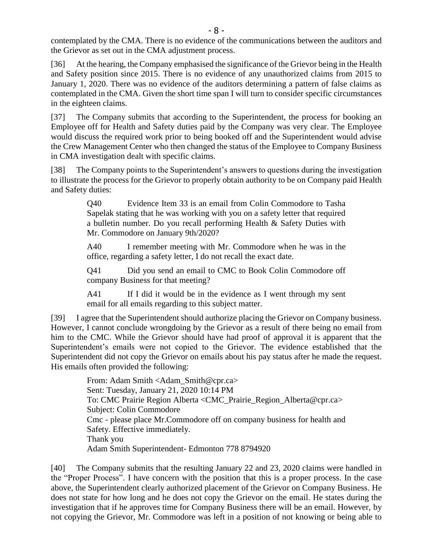contemplated by the CMA. There is no evidence of the communications between the auditors and the Grievor as set out in the CMA adjustment process.

[36] At the hearing, the Company emphasised the significance of the Grievor being in the Health and Safety position since 2015. There is no evidence of any unauthorized claims from 2015 to January 1, 2020. There was no evidence of the auditors determining a pattern of false claims as contemplated in the CMA. Given the short time span I will turn to consider specific circumstances in the eighteen claims.

[37] The Company submits that according to the Superintendent, the process for booking an Employee off for Health and Safety duties paid by the Company was very clear. The Employee would discuss the required work prior to being booked off and the Superintendent would advise the Crew Management Center who then changed the status of the Employee to Company Business in CMA investigation dealt with specific claims.

[38] The Company points to the Superintendent's answers to questions during the investigation to illustrate the process for the Grievor to properly obtain authority to be on Company paid Health and Safety duties:

> Q40 Evidence Item 33 is an email from Colin Commodore to Tasha Sapelak stating that he was working with you on a safety letter that required a bulletin number. Do you recall performing Health & Safety Duties with Mr. Commodore on January 9th/2020?

> A40 I remember meeting with Mr. Commodore when he was in the office, regarding a safety letter, I do not recall the exact date.

> Q41 Did you send an email to CMC to Book Colin Commodore off company Business for that meeting?

> A41 If I did it would be in the evidence as I went through my sent email for all emails regarding to this subject matter.

[39] I agree that the Superintendent should authorize placing the Grievor on Company business. However, I cannot conclude wrongdoing by the Grievor as a result of there being no email from him to the CMC. While the Grievor should have had proof of approval it is apparent that the Superintendent's emails were not copied to the Grievor. The evidence established that the Superintendent did not copy the Grievor on emails about his pay status after he made the request. His emails often provided the following:

> From: Adam Smith <Adam\_Smith@cpr.ca> Sent: Tuesday, January 21, 2020 10:14 PM To: CMC Prairie Region Alberta <CMC\_Prairie\_Region\_Alberta@cpr.ca> Subject: Colin Commodore Cmc - please place Mr.Commodore off on company business for health and Safety. Effective immediately. Thank you Adam Smith Superintendent- Edmonton 778 8794920

[40] The Company submits that the resulting January 22 and 23, 2020 claims were handled in the "Proper Process". I have concern with the position that this is a proper process. In the case above, the Superintendent clearly authorized placement of the Grievor on Company Business. He does not state for how long and he does not copy the Grievor on the email. He states during the investigation that if he approves time for Company Business there will be an email. However, by not copying the Grievor, Mr. Commodore was left in a position of not knowing or being able to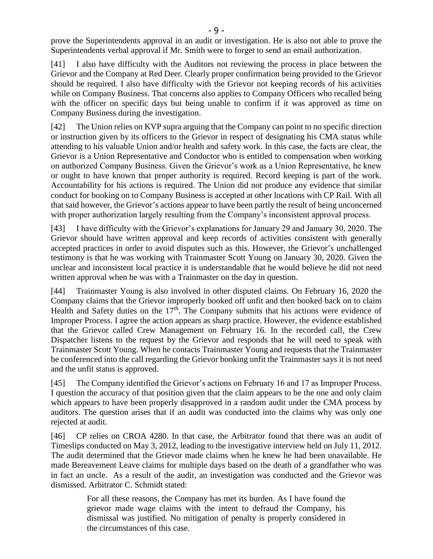prove the Superintendents approval in an audit or investigation. He is also not able to prove the Superintendents verbal approval if Mr. Smith were to forget to send an email authorization.

[41] I also have difficulty with the Auditors not reviewing the process in place between the Grievor and the Company at Red Deer. Clearly proper confirmation being provided to the Grievor should be required. I also have difficulty with the Grievor not keeping records of his activities while on Company Business. That concerns also applies to Company Officers who recalled being with the officer on specific days but being unable to confirm if it was approved as time on Company Business during the investigation.

[42] The Union relies on KVP supra arguing that the Company can point to no specific direction or instruction given by its officers to the Grievor in respect of designating his CMA status while attending to his valuable Union and/or health and safety work. In this case, the facts are clear, the Grievor is a Union Representative and Conductor who is entitled to compensation when working on authorized Company Business. Given the Grievor's work as a Union Representative, he knew or ought to have known that proper authority is required. Record keeping is part of the work. Accountability for his actions is required. The Union did not produce any evidence that similar conduct for booking on to Company Business is accepted at other locations with CP Rail. With all that said however, the Grievor's actions appear to have been partly the result of being unconcerned with proper authorization largely resulting from the Company's inconsistent approval process.

[43] I have difficulty with the Grievor's explanations for January 29 and January 30, 2020. The Grievor should have written approval and keep records of activities consistent with generally accepted practices in order to avoid disputes such as this. However, the Grievor's unchallenged testimony is that he was working with Trainmaster Scott Young on January 30, 2020. Given the unclear and inconsistent local practice it is understandable that he would believe he did not need written approval when he was with a Trainmaster on the day in question.

[44] Trainmaster Young is also involved in other disputed claims. On February 16, 2020 the Company claims that the Grievor improperly booked off unfit and then booked back on to claim Health and Safety duties on the  $17<sup>th</sup>$ . The Company submits that his actions were evidence of Improper Process. I agree the action appears as sharp practice. However, the evidence established that the Grievor called Crew Management on February 16. In the recorded call, the Crew Dispatcher listens to the request by the Grievor and responds that he will need to speak with Trainmaster Scott Young. When he contacts Trainmaster Young and requests that the Trainmaster be conferenced into the call regarding the Grievor booking unfit the Trainmaster says it is not need and the unfit status is approved.

[45] The Company identified the Grievor's actions on February 16 and 17 as Improper Process. I question the accuracy of that position given that the claim appears to be the one and only claim which appears to have been properly disapproved in a random audit under the CMA process by auditors. The question arises that if an audit was conducted into the claims why was only one rejected at audit.

[46] CP relies on CROA 4280. In that case, the Arbitrator found that there was an audit of Timeslips conducted on May 3, 2012, leading to the investigative interview held on July 11, 2012. The audit determined that the Grievor made claims when he knew he had been unavailable. He made Bereavement Leave claims for multiple days based on the death of a grandfather who was in fact an uncle. As a result of the audit, an investigation was conducted and the Grievor was dismissed. Arbitrator C. Schmidt stated:

> For all these reasons, the Company has met its burden. As I have found the grievor made wage claims with the intent to defraud the Company, his dismissal was justified. No mitigation of penalty is properly considered in the circumstances of this case.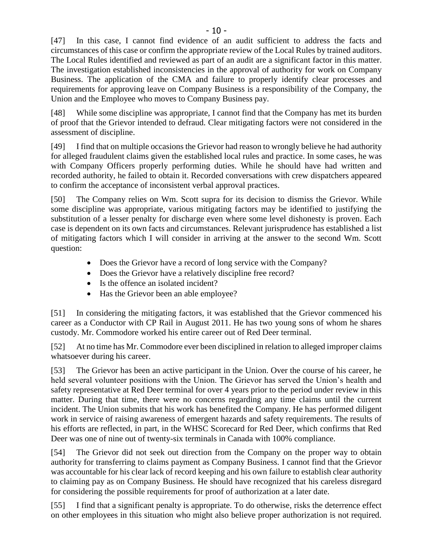[47] In this case, I cannot find evidence of an audit sufficient to address the facts and circumstances of this case or confirm the appropriate review of the Local Rules by trained auditors. The Local Rules identified and reviewed as part of an audit are a significant factor in this matter. The investigation established inconsistencies in the approval of authority for work on Company Business. The application of the CMA and failure to properly identify clear processes and requirements for approving leave on Company Business is a responsibility of the Company, the Union and the Employee who moves to Company Business pay.

[48] While some discipline was appropriate, I cannot find that the Company has met its burden of proof that the Grievor intended to defraud. Clear mitigating factors were not considered in the assessment of discipline.

[49] I find that on multiple occasions the Grievor had reason to wrongly believe he had authority for alleged fraudulent claims given the established local rules and practice. In some cases, he was with Company Officers properly performing duties. While he should have had written and recorded authority, he failed to obtain it. Recorded conversations with crew dispatchers appeared to confirm the acceptance of inconsistent verbal approval practices.

[50] The Company relies on Wm. Scott supra for its decision to dismiss the Grievor. While some discipline was appropriate, various mitigating factors may be identified to justifying the substitution of a lesser penalty for discharge even where some level dishonesty is proven. Each case is dependent on its own facts and circumstances. Relevant jurisprudence has established a list of mitigating factors which I will consider in arriving at the answer to the second Wm. Scott question:

- Does the Grievor have a record of long service with the Company?
- Does the Grievor have a relatively discipline free record?
- Is the offence an isolated incident?
- Has the Grievor been an able employee?

[51] In considering the mitigating factors, it was established that the Grievor commenced his career as a Conductor with CP Rail in August 2011. He has two young sons of whom he shares custody. Mr. Commodore worked his entire career out of Red Deer terminal.

[52] At no time has Mr. Commodore ever been disciplined in relation to alleged improper claims whatsoever during his career.

[53] The Grievor has been an active participant in the Union. Over the course of his career, he held several volunteer positions with the Union. The Grievor has served the Union's health and safety representative at Red Deer terminal for over 4 years prior to the period under review in this matter. During that time, there were no concerns regarding any time claims until the current incident. The Union submits that his work has benefited the Company. He has performed diligent work in service of raising awareness of emergent hazards and safety requirements. The results of his efforts are reflected, in part, in the WHSC Scorecard for Red Deer, which confirms that Red Deer was one of nine out of twenty-six terminals in Canada with 100% compliance.

[54] The Grievor did not seek out direction from the Company on the proper way to obtain authority for transferring to claims payment as Company Business. I cannot find that the Grievor was accountable for his clear lack of record keeping and his own failure to establish clear authority to claiming pay as on Company Business. He should have recognized that his careless disregard for considering the possible requirements for proof of authorization at a later date.

[55] I find that a significant penalty is appropriate. To do otherwise, risks the deterrence effect on other employees in this situation who might also believe proper authorization is not required.